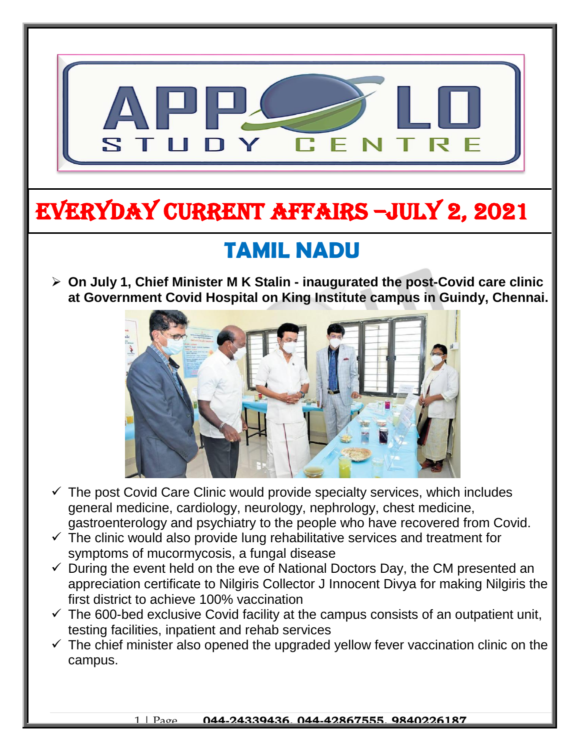

# EVERYDAY CURRENT AFFAIRS –jULY 2, 2021

-

## **TAMIL NADU**

 **On July 1, Chief Minister M K Stalin - inaugurated the post-Covid care clinic at Government Covid Hospital on King Institute campus in Guindy, Chennai.**



- $\checkmark$  The post Covid Care Clinic would provide specialty services, which includes general medicine, cardiology, neurology, nephrology, chest medicine, gastroenterology and psychiatry to the people who have recovered from Covid.
- $\checkmark$  The clinic would also provide lung rehabilitative services and treatment for symptoms of mucormycosis, a fungal disease
- $\checkmark$  During the event held on the eve of National Doctors Day, the CM presented an appreciation certificate to Nilgiris Collector J Innocent Divya for making Nilgiris the first district to achieve 100% vaccination
- $\checkmark$  The 600-bed exclusive Covid facility at the campus consists of an outpatient unit, testing facilities, inpatient and rehab services
- $\checkmark$  The chief minister also opened the upgraded yellow fever vaccination clinic on the campus.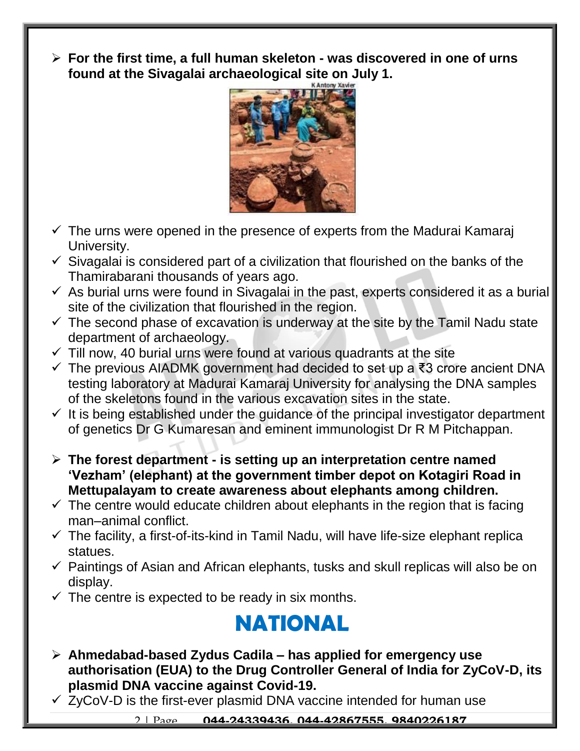**For the first time, a full human skeleton - was discovered in one of urns found at the Sivagalai archaeological site on July 1.**



- $\checkmark$  The urns were opened in the presence of experts from the Madurai Kamaraj University.
- $\checkmark$  Sivagalai is considered part of a civilization that flourished on the banks of the Thamirabarani thousands of years ago.
- $\checkmark$  As burial urns were found in Sivagalai in the past, experts considered it as a burial site of the civilization that flourished in the region.
- $\checkmark$  The second phase of excavation is underway at the site by the Tamil Nadu state department of archaeology.
- $\checkmark$  Till now, 40 burial urns were found at various quadrants at the site
- The previous AIADMK government had decided to set up a ₹3 crore ancient DNA testing laboratory at Madurai Kamaraj University for analysing the DNA samples of the skeletons found in the various excavation sites in the state.
- $\checkmark$  It is being established under the guidance of the principal investigator department of genetics Dr G Kumaresan and eminent immunologist Dr R M Pitchappan.
- **The forest department - is setting up an interpretation centre named 'Vezham' (elephant) at the government timber depot on Kotagiri Road in Mettupalayam to create awareness about elephants among children.**
- $\checkmark$  The centre would educate children about elephants in the region that is facing man–animal conflict.
- $\checkmark$  The facility, a first-of-its-kind in Tamil Nadu, will have life-size elephant replica statues.
- $\checkmark$  Paintings of Asian and African elephants, tusks and skull replicas will also be on display.
- $\checkmark$  The centre is expected to be ready in six months.

### **NATIONAL**

- **Ahmedabad-based Zydus Cadila – has applied for emergency use authorisation (EUA) to the Drug Controller General of India for ZyCoV-D, its plasmid DNA vaccine against Covid-19.**
- $\checkmark$  ZyCoV-D is the first-ever plasmid DNA vaccine intended for human use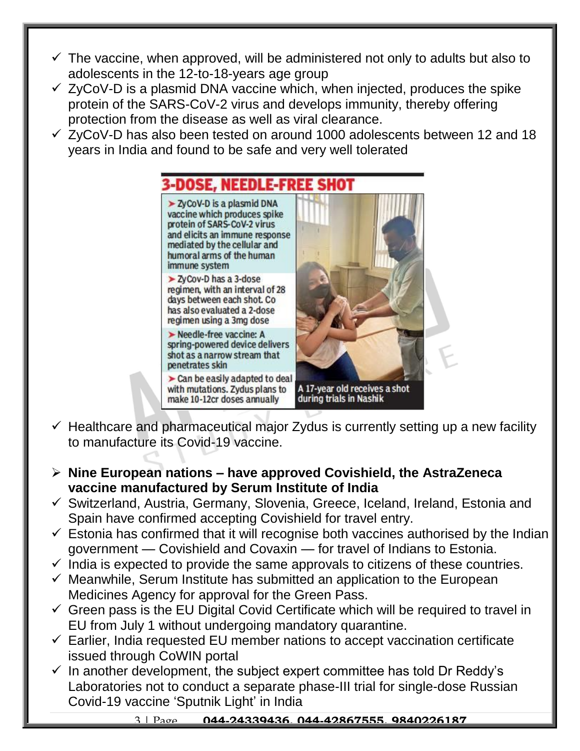- $\checkmark$  The vaccine, when approved, will be administered not only to adults but also to adolescents in the 12-to-18-years age group
- $\checkmark$  ZyCoV-D is a plasmid DNA vaccine which, when injected, produces the spike protein of the SARS-CoV-2 virus and develops immunity, thereby offering protection from the disease as well as viral clearance.
- $\checkmark$  ZyCoV-D has also been tested on around 1000 adolescents between 12 and 18 years in India and found to be safe and very well tolerated

3-DOSE, NEEDLE-FREE SHOT > ZyCoV-D is a plasmid DNA vaccine which produces spike protein of SARS-CoV-2 virus and elicits an immune response mediated by the cellular and humoral arms of the human immune system > ZyCov-D has a 3-dose regimen, with an interval of 28 days between each shot. Co has also evaluated a 2-dose regimen using a 3mg dose Needle-free vaccine: A spring-powered device delivers shot as a narrow stream that penetrates skin  $\triangleright$  Can be easily adapted to deal with mutations. Zydus plans to A 17-year old receives a shot during trials in Nashik make 10-12cr doses annually

- $\checkmark$  Healthcare and pharmaceutical major Zydus is currently setting up a new facility to manufacture its Covid-19 vaccine.
- **Nine European nations – have approved Covishield, the AstraZeneca vaccine manufactured by Serum Institute of India**
- $\checkmark$  Switzerland, Austria, Germany, Slovenia, Greece, Iceland, Ireland, Estonia and Spain have confirmed accepting Covishield for travel entry.
- $\checkmark$  Estonia has confirmed that it will recognise both vaccines authorised by the Indian government — Covishield and Covaxin — for travel of Indians to Estonia.
- $\checkmark$  India is expected to provide the same approvals to citizens of these countries.
- $\checkmark$  Meanwhile, Serum Institute has submitted an application to the European Medicines Agency for approval for the Green Pass.
- $\checkmark$  Green pass is the EU Digital Covid Certificate which will be required to travel in EU from July 1 without undergoing mandatory quarantine.
- $\checkmark$  Earlier, India requested EU member nations to accept vaccination certificate issued through CoWIN portal
- $\checkmark$  In another development, the subject expert committee has told Dr Reddy's Laboratories not to conduct a separate phase-III trial for single-dose Russian Covid-19 vaccine 'Sputnik Light' in India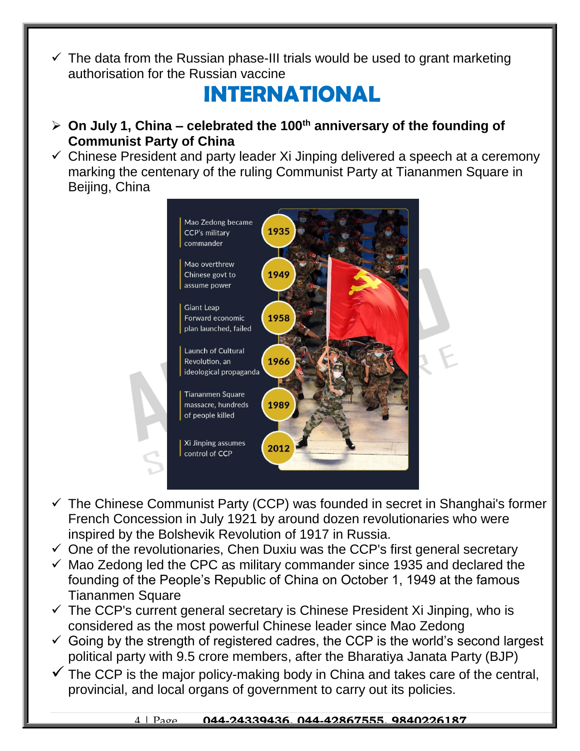$\checkmark$  The data from the Russian phase-III trials would be used to grant marketing authorisation for the Russian vaccine

#### **INTERNATIONAL**

- **On July 1, China – celebrated the 100th anniversary of the founding of Communist Party of China**
- $\checkmark$  Chinese President and party leader Xi Jinping delivered a speech at a ceremony marking the centenary of the ruling Communist Party at Tiananmen Square in Beijing, China



- $\checkmark$  The Chinese Communist Party (CCP) was founded in secret in Shanghai's former French Concession in July 1921 by around dozen revolutionaries who were inspired by the Bolshevik Revolution of 1917 in Russia.
- $\checkmark$  One of the revolutionaries, Chen Duxiu was the CCP's first general secretary
- $\checkmark$  Mao Zedong led the CPC as military commander since 1935 and declared the founding of the People's Republic of China on October 1, 1949 at the famous Tiananmen Square
- $\checkmark$  The CCP's current general secretary is Chinese President Xi Jinping, who is considered as the most powerful Chinese leader since Mao Zedong
- $\checkmark$  Going by the strength of registered cadres, the CCP is the world's second largest political party with 9.5 crore members, after the Bharatiya Janata Party (BJP)
- $\checkmark$  The CCP is the major policy-making body in China and takes care of the central, provincial, and local organs of government to carry out its policies.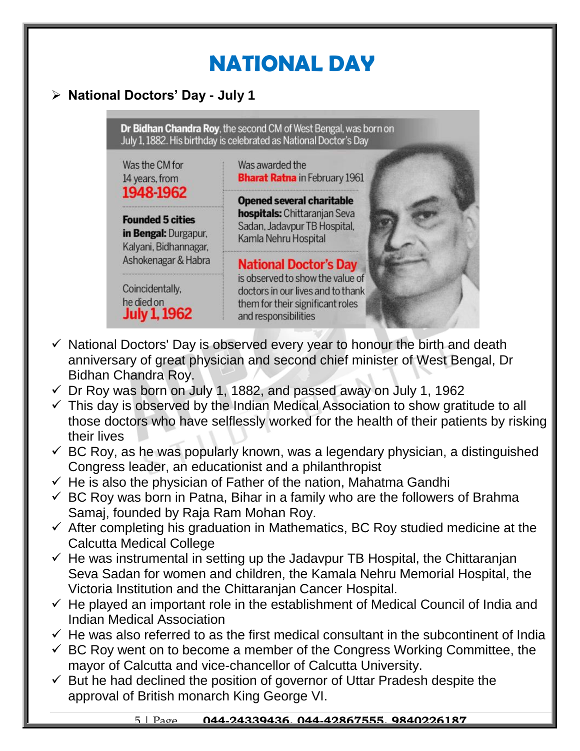## **NATIONAL DAY**

#### **National Doctors' Day - July 1**

Dr Bidhan Chandra Roy, the second CM of West Bengal, was born on July 1, 1882. His birthday is celebrated as National Doctor's Day

Was the CM for 14 years, from 1948-1962

**Founded 5 cities** in Bengal: Durgapur. Kalvani, Bidhannagar, Ashokenagar & Habra

Coincidentally.

**July 1, 1962** 

he died on

Was awarded the **Bharat Ratna** in February 1961

**Opened several charitable hospitals:** Chittaranjan Seva Sadan, Jadavpur TB Hospital, Kamla Nehru Hospital

**National Doctor's Day** is observed to show the value of doctors in our lives and to thank them for their significant roles and responsibilities



- $\checkmark$  National Doctors' Day is observed every year to honour the birth and death anniversary of great physician and second chief minister of West Bengal, Dr Bidhan Chandra Roy.
- $\checkmark$  Dr Roy was born on July 1, 1882, and passed away on July 1, 1962
- $\checkmark$  This day is observed by the Indian Medical Association to show gratitude to all those doctors who have selflessly worked for the health of their patients by risking their lives
- $\checkmark$  BC Roy, as he was popularly known, was a legendary physician, a distinguished Congress leader, an educationist and a philanthropist
- $\checkmark$  He is also the physician of Father of the nation, Mahatma Gandhi
- $\checkmark$  BC Roy was born in Patna, Bihar in a family who are the followers of Brahma Samaj, founded by Raja Ram Mohan Roy.
- $\checkmark$  After completing his graduation in Mathematics, BC Roy studied medicine at the Calcutta Medical College
- $\checkmark$  He was instrumental in setting up the Jadavpur TB Hospital, the Chittaranjan Seva Sadan for women and children, the Kamala Nehru Memorial Hospital, the Victoria Institution and the Chittaranjan Cancer Hospital.
- $\checkmark$  He played an important role in the establishment of Medical Council of India and Indian Medical Association
- $\checkmark$  He was also referred to as the first medical consultant in the subcontinent of India
- $\checkmark$  BC Roy went on to become a member of the Congress Working Committee, the mayor of Calcutta and vice-chancellor of Calcutta University.
- $\checkmark$  But he had declined the position of governor of Uttar Pradesh despite the approval of British monarch King George VI.